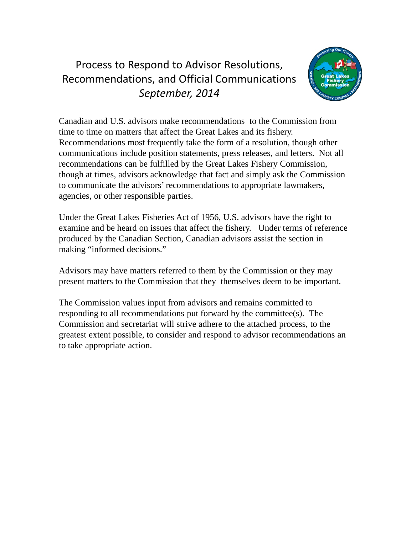## Process to Respond to Advisor Resolutions, Recommendations, and Official Communications *September, 2014*



Canadian and U.S. advisors make recommendations to the Commission from time to time on matters that affect the Great Lakes and its fishery. Recommendations most frequently take the form of a resolution, though other communications include position statements, press releases, and letters. Not all recommendations can be fulfilled by the Great Lakes Fishery Commission, though at times, advisors acknowledge that fact and simply ask the Commission to communicate the advisors' recommendations to appropriate lawmakers, agencies, or other responsible parties.

Under the Great Lakes Fisheries Act of 1956, U.S. advisors have the right to examine and be heard on issues that affect the fishery. Under terms of reference produced by the Canadian Section, Canadian advisors assist the section in making "informed decisions."

Advisors may have matters referred to them by the Commission or they may present matters to the Commission that they themselves deem to be important.

The Commission values input from advisors and remains committed to responding to all recommendations put forward by the committee(s). The Commission and secretariat will strive adhere to the attached process, to the greatest extent possible, to consider and respond to advisor recommendations an to take appropriate action.